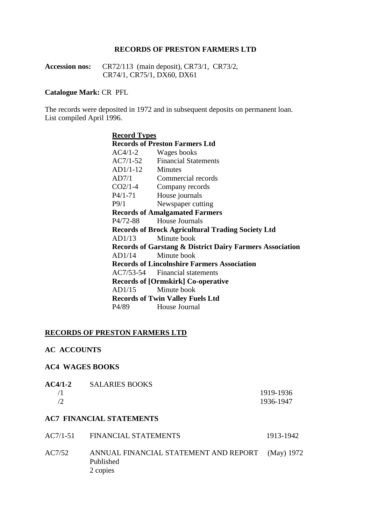#### **RECORDS OF PRESTON FARMERS LTD**

**Accession nos:** CR72/113 (main deposit), CR73/1, CR73/2, CR74/1, CR75/1, DX60, DX61

## **Catalogue Mark:** CR PFL

The records were deposited in 1972 and in subsequent deposits on permanent loan. List compiled April 1996.

| <b>Record Types</b> |                                                                     |
|---------------------|---------------------------------------------------------------------|
|                     | <b>Records of Preston Farmers Ltd</b>                               |
|                     | $AC4/1-2$ Wages books                                               |
|                     | AC7/1-52 Financial Statements                                       |
| $AD1/1-12$ Minutes  |                                                                     |
| AD7/1               | Commercial records                                                  |
| $CO2/1-4$           | Company records                                                     |
| $P4/1-71$           | House journals                                                      |
| P9/1                | Newspaper cutting                                                   |
|                     | <b>Records of Amalgamated Farmers</b>                               |
| P4/72-88            | <b>House Journals</b>                                               |
|                     | <b>Records of Brock Agricultural Trading Society Ltd</b>            |
| AD1/13              | Minute book                                                         |
|                     | <b>Records of Garstang &amp; District Dairy Farmers Association</b> |
| AD1/14              | Minute book                                                         |
|                     | <b>Records of Lincolnshire Farmers Association</b>                  |
|                     | AC7/53-54 Financial statements                                      |
|                     | <b>Records of [Ormskirk] Co-operative</b>                           |
| AD1/15              | Minute book                                                         |
|                     | <b>Records of Twin Valley Fuels Ltd</b>                             |
| P4/89               | House Journal                                                       |

#### **RECORDS OF PRESTON FARMERS LTD**

#### **AC ACCOUNTS**

#### **AC4 WAGES BOOKS**

| <b>SALARIES BOOKS</b> |           |
|-----------------------|-----------|
|                       | 1919-1936 |
|                       | 1936-1947 |
|                       |           |

## **AC7 FINANCIAL STATEMENTS**

|        | AC7/1-51 FINANCIAL STATEMENTS                                             | 1913-1942 |
|--------|---------------------------------------------------------------------------|-----------|
| AC7/52 | ANNUAL FINANCIAL STATEMENT AND REPORT (May) 1972<br>Published<br>2 copies |           |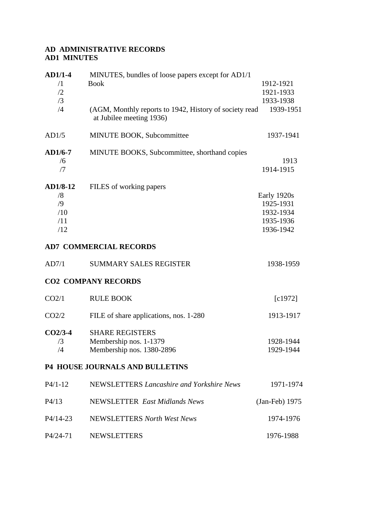## **AD ADMINISTRATIVE RECORDS AD1 MINUTES**

| $AD1/1-4$<br>$\sqrt{1}$<br>/2<br>/3<br>/4 | MINUTES, bundles of loose papers except for AD1/1<br><b>Book</b><br>(AGM, Monthly reports to 1942, History of society read | 1912-1921<br>1921-1933<br>1933-1938<br>1939-1951                |
|-------------------------------------------|----------------------------------------------------------------------------------------------------------------------------|-----------------------------------------------------------------|
| AD1/5                                     | at Jubilee meeting 1936)<br>MINUTE BOOK, Subcommittee                                                                      | 1937-1941                                                       |
| $AD1/6-7$<br>/6<br>/7                     | MINUTE BOOKS, Subcommittee, shorthand copies                                                                               | 1913<br>1914-1915                                               |
| AD1/8-12<br>/8<br>/9<br>/10<br>/11<br>/12 | FILES of working papers                                                                                                    | Early 1920s<br>1925-1931<br>1932-1934<br>1935-1936<br>1936-1942 |
|                                           | <b>AD7 COMMERCIAL RECORDS</b>                                                                                              |                                                                 |
| AD7/1                                     | <b>SUMMARY SALES REGISTER</b>                                                                                              | 1938-1959                                                       |
|                                           | <b>CO2 COMPANY RECORDS</b>                                                                                                 |                                                                 |
| CO2/1                                     | <b>RULE BOOK</b>                                                                                                           | [c1972]                                                         |
| CO2/2                                     | FILE of share applications, nos. 1-280                                                                                     | 1913-1917                                                       |
| $CO2/3-4$<br>/3<br>/4                     | <b>SHARE REGISTERS</b><br>Membership nos. 1-1379<br>Membership nos. 1380-2896                                              | 1928-1944<br>1929-1944                                          |
|                                           | <b>P4 HOUSE JOURNALS AND BULLETINS</b>                                                                                     |                                                                 |
| $P4/1-12$                                 | NEWSLETTERS Lancashire and Yorkshire News                                                                                  | 1971-1974                                                       |
| P4/13                                     | <b>NEWSLETTER</b> East Midlands News                                                                                       | (Jan-Feb) 1975                                                  |
| $P4/14-23$                                | NEWSLETTERS North West News                                                                                                | 1974-1976                                                       |
| P4/24-71                                  | <b>NEWSLETTERS</b>                                                                                                         | 1976-1988                                                       |